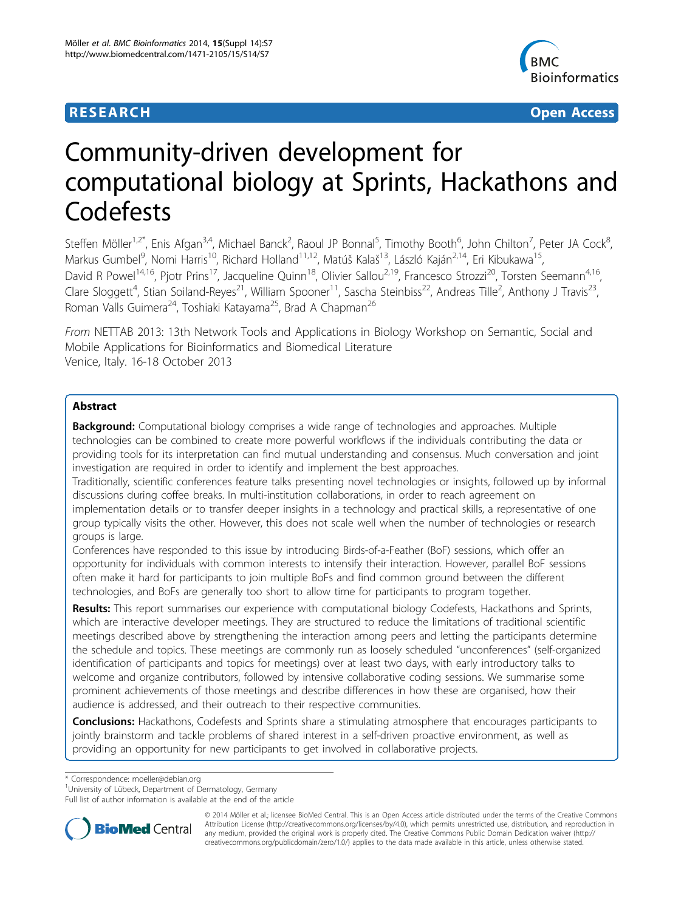

**RESEARCH CONTROL** CONTROL CONTROL CONTROL CONTROL CONTROL CONTROL CONTROL CONTROL CONTROL CONTROL CONTROL CONTROL CONTROL CONTROL CONTROL CONTROL CONTROL CONTROL CONTROL CONTROL CONTROL CONTROL CONTROL CONTROL CONTROL CON

# Community-driven development for computational biology at Sprints, Hackathons and Codefests

Steffen Möller<sup>1,2\*</sup>, Enis Afgan<sup>3,4</sup>, Michael Banck<sup>2</sup>, Raoul JP Bonnal<sup>5</sup>, Timothy Booth<sup>6</sup>, John Chilton<sup>7</sup>, Peter JA Cock<sup>8</sup> ;<br>, Markus Gumbel<sup>9</sup>, Nomi Harris<sup>10</sup>, Richard Holland<sup>11,12</sup>, Matúš Kalaš<sup>13</sup>, László Kaján<sup>2,14</sup>, Eri Kibukawa<sup>15</sup>, David R Powel<sup>14,16</sup>, Pjotr Prins<sup>17</sup>, Jacqueline Quinn<sup>18</sup>, Olivier Sallou<sup>2,19</sup>, Francesco Strozzi<sup>20</sup>, Torsten Seemann<sup>4,16</sup>, Clare Sloggett<sup>4</sup>, Stian Soiland-Reyes<sup>21</sup>, William Spooner<sup>11</sup>, Sascha Steinbiss<sup>22</sup>, Andreas Tille<sup>2</sup>, Anthony J Travis<sup>23</sup>, Roman Valls Guimera<sup>24</sup>, Toshiaki Katayama<sup>25</sup>, Brad A Chapman<sup>26</sup>

From NETTAB 2013: 13th Network Tools and Applications in Biology Workshop on Semantic, Social and Mobile Applications for Bioinformatics and Biomedical Literature Venice, Italy. 16-18 October 2013

# Abstract

**Background:** Computational biology comprises a wide range of technologies and approaches. Multiple technologies can be combined to create more powerful workflows if the individuals contributing the data or providing tools for its interpretation can find mutual understanding and consensus. Much conversation and joint investigation are required in order to identify and implement the best approaches.

Traditionally, scientific conferences feature talks presenting novel technologies or insights, followed up by informal discussions during coffee breaks. In multi-institution collaborations, in order to reach agreement on implementation details or to transfer deeper insights in a technology and practical skills, a representative of one group typically visits the other. However, this does not scale well when the number of technologies or research groups is large.

Conferences have responded to this issue by introducing Birds-of-a-Feather (BoF) sessions, which offer an opportunity for individuals with common interests to intensify their interaction. However, parallel BoF sessions often make it hard for participants to join multiple BoFs and find common ground between the different technologies, and BoFs are generally too short to allow time for participants to program together.

Results: This report summarises our experience with computational biology Codefests, Hackathons and Sprints, which are interactive developer meetings. They are structured to reduce the limitations of traditional scientific meetings described above by strengthening the interaction among peers and letting the participants determine the schedule and topics. These meetings are commonly run as loosely scheduled "unconferences" (self-organized identification of participants and topics for meetings) over at least two days, with early introductory talks to welcome and organize contributors, followed by intensive collaborative coding sessions. We summarise some prominent achievements of those meetings and describe differences in how these are organised, how their audience is addressed, and their outreach to their respective communities.

**Conclusions:** Hackathons, Codefests and Sprints share a stimulating atmosphere that encourages participants to jointly brainstorm and tackle problems of shared interest in a self-driven proactive environment, as well as providing an opportunity for new participants to get involved in collaborative projects.

\* Correspondence: [moeller@debian.org](mailto:moeller@debian.org)

<sup>1</sup>University of Lübeck, Department of Dermatology, Germany

Full list of author information is available at the end of the article



© 2014 Möller et al.; licensee BioMed Central. This is an Open Access article distributed under the terms of the Creative Commons Attribution License [\(http://creativecommons.org/licenses/by/4.0](http://creativecommons.org/licenses/by/4.0)), which permits unrestricted use, distribution, and reproduction in any medium, provided the original work is properly cited. The Creative Commons Public Domain Dedication waiver [\(http://](http://creativecommons.org/publicdomain/zero/1.0/) [creativecommons.org/publicdomain/zero/1.0/](http://creativecommons.org/publicdomain/zero/1.0/)) applies to the data made available in this article, unless otherwise stated.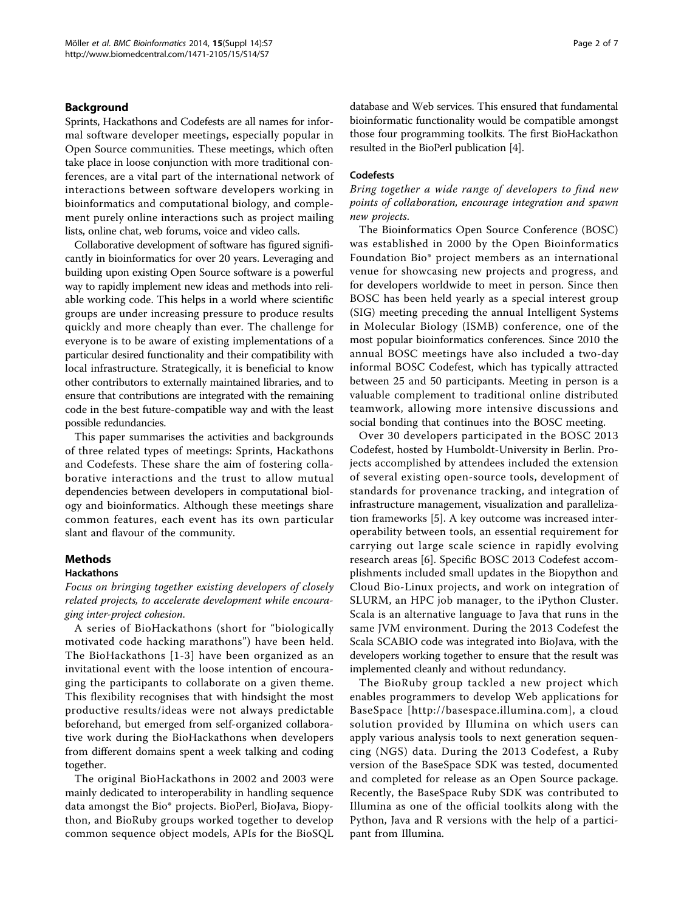# Background

Sprints, Hackathons and Codefests are all names for informal software developer meetings, especially popular in Open Source communities. These meetings, which often take place in loose conjunction with more traditional conferences, are a vital part of the international network of interactions between software developers working in bioinformatics and computational biology, and complement purely online interactions such as project mailing lists, online chat, web forums, voice and video calls.

Collaborative development of software has figured significantly in bioinformatics for over 20 years. Leveraging and building upon existing Open Source software is a powerful way to rapidly implement new ideas and methods into reliable working code. This helps in a world where scientific groups are under increasing pressure to produce results quickly and more cheaply than ever. The challenge for everyone is to be aware of existing implementations of a particular desired functionality and their compatibility with local infrastructure. Strategically, it is beneficial to know other contributors to externally maintained libraries, and to ensure that contributions are integrated with the remaining code in the best future-compatible way and with the least possible redundancies.

This paper summarises the activities and backgrounds of three related types of meetings: Sprints, Hackathons and Codefests. These share the aim of fostering collaborative interactions and the trust to allow mutual dependencies between developers in computational biology and bioinformatics. Although these meetings share common features, each event has its own particular slant and flavour of the community.

# Methods

#### Hackathons

# Focus on bringing together existing developers of closely related projects, to accelerate development while encouraging inter-project cohesion.

A series of BioHackathons (short for "biologically motivated code hacking marathons") have been held. The BioHackathons [\[1-3\]](#page-5-0) have been organized as an invitational event with the loose intention of encouraging the participants to collaborate on a given theme. This flexibility recognises that with hindsight the most productive results/ideas were not always predictable beforehand, but emerged from self-organized collaborative work during the BioHackathons when developers from different domains spent a week talking and coding together.

The original BioHackathons in 2002 and 2003 were mainly dedicated to interoperability in handling sequence data amongst the Bio\* projects. BioPerl, BioJava, Biopython, and BioRuby groups worked together to develop common sequence object models, APIs for the BioSQL database and Web services. This ensured that fundamental bioinformatic functionality would be compatible amongst those four programming toolkits. The first BioHackathon resulted in the BioPerl publication [[4](#page-5-0)].

### Codefests

# Bring together a wide range of developers to find new points of collaboration, encourage integration and spawn new projects.

The Bioinformatics Open Source Conference (BOSC) was established in 2000 by the Open Bioinformatics Foundation Bio\* project members as an international venue for showcasing new projects and progress, and for developers worldwide to meet in person. Since then BOSC has been held yearly as a special interest group (SIG) meeting preceding the annual Intelligent Systems in Molecular Biology (ISMB) conference, one of the most popular bioinformatics conferences. Since 2010 the annual BOSC meetings have also included a two-day informal BOSC Codefest, which has typically attracted between 25 and 50 participants. Meeting in person is a valuable complement to traditional online distributed teamwork, allowing more intensive discussions and social bonding that continues into the BOSC meeting.

Over 30 developers participated in the BOSC 2013 Codefest, hosted by Humboldt-University in Berlin. Projects accomplished by attendees included the extension of several existing open-source tools, development of standards for provenance tracking, and integration of infrastructure management, visualization and parallelization frameworks [\[5\]](#page-5-0). A key outcome was increased interoperability between tools, an essential requirement for carrying out large scale science in rapidly evolving research areas [[6\]](#page-5-0). Specific BOSC 2013 Codefest accomplishments included small updates in the Biopython and Cloud Bio-Linux projects, and work on integration of SLURM, an HPC job manager, to the iPython Cluster. Scala is an alternative language to Java that runs in the same JVM environment. During the 2013 Codefest the Scala SCABIO code was integrated into BioJava, with the developers working together to ensure that the result was implemented cleanly and without redundancy.

The BioRuby group tackled a new project which enables programmers to develop Web applications for BaseSpace [<http://basespace.illumina.com>], a cloud solution provided by Illumina on which users can apply various analysis tools to next generation sequencing (NGS) data. During the 2013 Codefest, a Ruby version of the BaseSpace SDK was tested, documented and completed for release as an Open Source package. Recently, the BaseSpace Ruby SDK was contributed to Illumina as one of the official toolkits along with the Python, Java and R versions with the help of a participant from Illumina.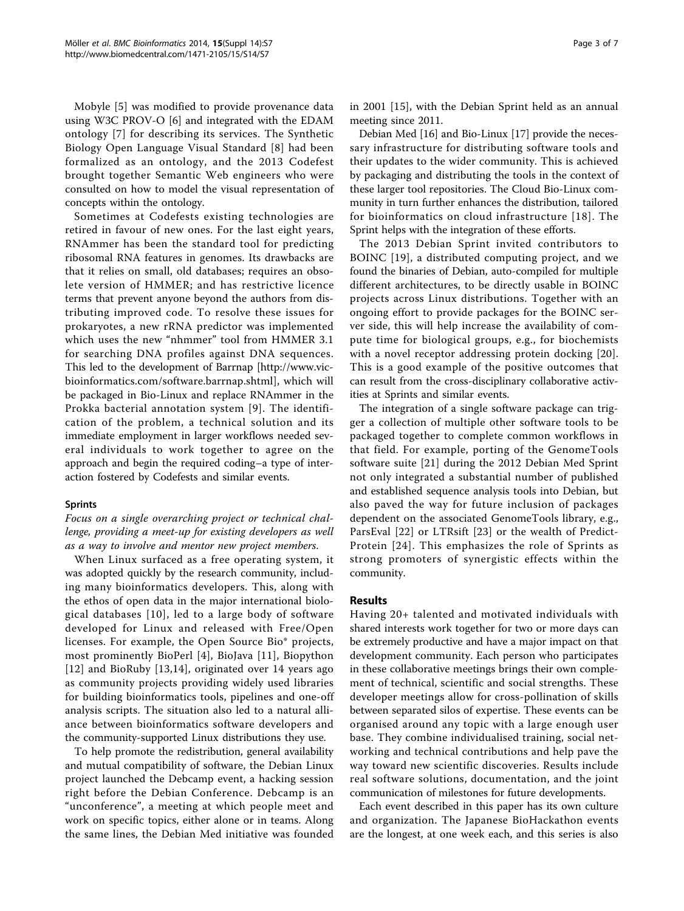Mobyle [[5\]](#page-5-0) was modified to provide provenance data using W3C PROV-O [\[6](#page-5-0)] and integrated with the EDAM ontology [[7](#page-5-0)] for describing its services. The Synthetic Biology Open Language Visual Standard [[8](#page-5-0)] had been formalized as an ontology, and the 2013 Codefest brought together Semantic Web engineers who were consulted on how to model the visual representation of concepts within the ontology.

Sometimes at Codefests existing technologies are retired in favour of new ones. For the last eight years, RNAmmer has been the standard tool for predicting ribosomal RNA features in genomes. Its drawbacks are that it relies on small, old databases; requires an obsolete version of HMMER; and has restrictive licence terms that prevent anyone beyond the authors from distributing improved code. To resolve these issues for prokaryotes, a new rRNA predictor was implemented which uses the new "nhmmer" tool from HMMER 3.1 for searching DNA profiles against DNA sequences. This led to the development of Barrnap [[http://www.vic](http://www.vicbioinformatics.com/software.barrnap.shtml)[bioinformatics.com/software.barrnap.shtml](http://www.vicbioinformatics.com/software.barrnap.shtml)], which will be packaged in Bio-Linux and replace RNAmmer in the Prokka bacterial annotation system [[9](#page-5-0)]. The identification of the problem, a technical solution and its immediate employment in larger workflows needed several individuals to work together to agree on the approach and begin the required coding–a type of interaction fostered by Codefests and similar events.

# Sprints

Focus on a single overarching project or technical challenge, providing a meet-up for existing developers as well as a way to involve and mentor new project members.

When Linux surfaced as a free operating system, it was adopted quickly by the research community, including many bioinformatics developers. This, along with the ethos of open data in the major international biological databases [[10\]](#page--1-0), led to a large body of software developed for Linux and released with Free/Open licenses. For example, the Open Source Bio\* projects, most prominently BioPerl [[4](#page-5-0)], BioJava [\[11\]](#page--1-0), Biopython [[12](#page--1-0)] and BioRuby [[13,14\]](#page--1-0), originated over 14 years ago as community projects providing widely used libraries for building bioinformatics tools, pipelines and one-off analysis scripts. The situation also led to a natural alliance between bioinformatics software developers and the community-supported Linux distributions they use.

To help promote the redistribution, general availability and mutual compatibility of software, the Debian Linux project launched the Debcamp event, a hacking session right before the Debian Conference. Debcamp is an "unconference", a meeting at which people meet and work on specific topics, either alone or in teams. Along the same lines, the Debian Med initiative was founded Page 3 of 7

in 2001 [\[15](#page--1-0)], with the Debian Sprint held as an annual meeting since 2011.

Debian Med [[16\]](#page--1-0) and Bio-Linux [\[17](#page--1-0)] provide the necessary infrastructure for distributing software tools and their updates to the wider community. This is achieved by packaging and distributing the tools in the context of these larger tool repositories. The Cloud Bio-Linux community in turn further enhances the distribution, tailored for bioinformatics on cloud infrastructure [[18](#page--1-0)]. The Sprint helps with the integration of these efforts.

The 2013 Debian Sprint invited contributors to BOINC [[19\]](#page--1-0), a distributed computing project, and we found the binaries of Debian, auto-compiled for multiple different architectures, to be directly usable in BOINC projects across Linux distributions. Together with an ongoing effort to provide packages for the BOINC server side, this will help increase the availability of compute time for biological groups, e.g., for biochemists with a novel receptor addressing protein docking [[20](#page--1-0)]. This is a good example of the positive outcomes that can result from the cross-disciplinary collaborative activities at Sprints and similar events.

The integration of a single software package can trigger a collection of multiple other software tools to be packaged together to complete common workflows in that field. For example, porting of the GenomeTools software suite [[21\]](#page--1-0) during the 2012 Debian Med Sprint not only integrated a substantial number of published and established sequence analysis tools into Debian, but also paved the way for future inclusion of packages dependent on the associated GenomeTools library, e.g., ParsEval [\[22](#page--1-0)] or LTRsift [\[23\]](#page--1-0) or the wealth of Predict-Protein [[24](#page--1-0)]. This emphasizes the role of Sprints as strong promoters of synergistic effects within the community.

# Results

Having 20+ talented and motivated individuals with shared interests work together for two or more days can be extremely productive and have a major impact on that development community. Each person who participates in these collaborative meetings brings their own complement of technical, scientific and social strengths. These developer meetings allow for cross-pollination of skills between separated silos of expertise. These events can be organised around any topic with a large enough user base. They combine individualised training, social networking and technical contributions and help pave the way toward new scientific discoveries. Results include real software solutions, documentation, and the joint communication of milestones for future developments.

Each event described in this paper has its own culture and organization. The Japanese BioHackathon events are the longest, at one week each, and this series is also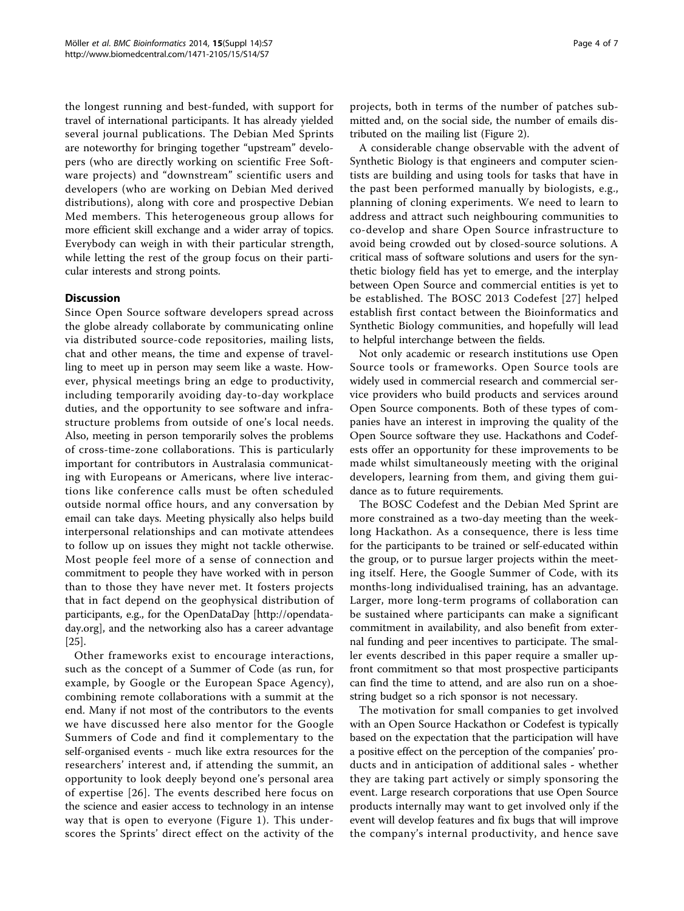the longest running and best-funded, with support for travel of international participants. It has already yielded several journal publications. The Debian Med Sprints are noteworthy for bringing together "upstream" developers (who are directly working on scientific Free Software projects) and "downstream" scientific users and developers (who are working on Debian Med derived distributions), along with core and prospective Debian Med members. This heterogeneous group allows for more efficient skill exchange and a wider array of topics. Everybody can weigh in with their particular strength, while letting the rest of the group focus on their particular interests and strong points.

# **Discussion**

Since Open Source software developers spread across the globe already collaborate by communicating online via distributed source-code repositories, mailing lists, chat and other means, the time and expense of travelling to meet up in person may seem like a waste. However, physical meetings bring an edge to productivity, including temporarily avoiding day-to-day workplace duties, and the opportunity to see software and infrastructure problems from outside of one's local needs. Also, meeting in person temporarily solves the problems of cross-time-zone collaborations. This is particularly important for contributors in Australasia communicating with Europeans or Americans, where live interactions like conference calls must be often scheduled outside normal office hours, and any conversation by email can take days. Meeting physically also helps build interpersonal relationships and can motivate attendees to follow up on issues they might not tackle otherwise. Most people feel more of a sense of connection and commitment to people they have worked with in person than to those they have never met. It fosters projects that in fact depend on the geophysical distribution of participants, e.g., for the OpenDataDay [[http://opendata](http://opendataday.org)[day.org](http://opendataday.org)], and the networking also has a career advantage [[25\]](#page--1-0).

Other frameworks exist to encourage interactions, such as the concept of a Summer of Code (as run, for example, by Google or the European Space Agency), combining remote collaborations with a summit at the end. Many if not most of the contributors to the events we have discussed here also mentor for the Google Summers of Code and find it complementary to the self-organised events - much like extra resources for the researchers' interest and, if attending the summit, an opportunity to look deeply beyond one's personal area of expertise [[26](#page--1-0)]. The events described here focus on the science and easier access to technology in an intense way that is open to everyone (Figure [1\)](#page-4-0). This underscores the Sprints' direct effect on the activity of the

projects, both in terms of the number of patches submitted and, on the social side, the number of emails distributed on the mailing list (Figure [2\)](#page-4-0).

A considerable change observable with the advent of Synthetic Biology is that engineers and computer scientists are building and using tools for tasks that have in the past been performed manually by biologists, e.g., planning of cloning experiments. We need to learn to address and attract such neighbouring communities to co-develop and share Open Source infrastructure to avoid being crowded out by closed-source solutions. A critical mass of software solutions and users for the synthetic biology field has yet to emerge, and the interplay between Open Source and commercial entities is yet to be established. The BOSC 2013 Codefest [[27\]](#page--1-0) helped establish first contact between the Bioinformatics and Synthetic Biology communities, and hopefully will lead to helpful interchange between the fields.

Not only academic or research institutions use Open Source tools or frameworks. Open Source tools are widely used in commercial research and commercial service providers who build products and services around Open Source components. Both of these types of companies have an interest in improving the quality of the Open Source software they use. Hackathons and Codefests offer an opportunity for these improvements to be made whilst simultaneously meeting with the original developers, learning from them, and giving them guidance as to future requirements.

The BOSC Codefest and the Debian Med Sprint are more constrained as a two-day meeting than the weeklong Hackathon. As a consequence, there is less time for the participants to be trained or self-educated within the group, or to pursue larger projects within the meeting itself. Here, the Google Summer of Code, with its months-long individualised training, has an advantage. Larger, more long-term programs of collaboration can be sustained where participants can make a significant commitment in availability, and also benefit from external funding and peer incentives to participate. The smaller events described in this paper require a smaller upfront commitment so that most prospective participants can find the time to attend, and are also run on a shoestring budget so a rich sponsor is not necessary.

The motivation for small companies to get involved with an Open Source Hackathon or Codefest is typically based on the expectation that the participation will have a positive effect on the perception of the companies' products and in anticipation of additional sales - whether they are taking part actively or simply sponsoring the event. Large research corporations that use Open Source products internally may want to get involved only if the event will develop features and fix bugs that will improve the company's internal productivity, and hence save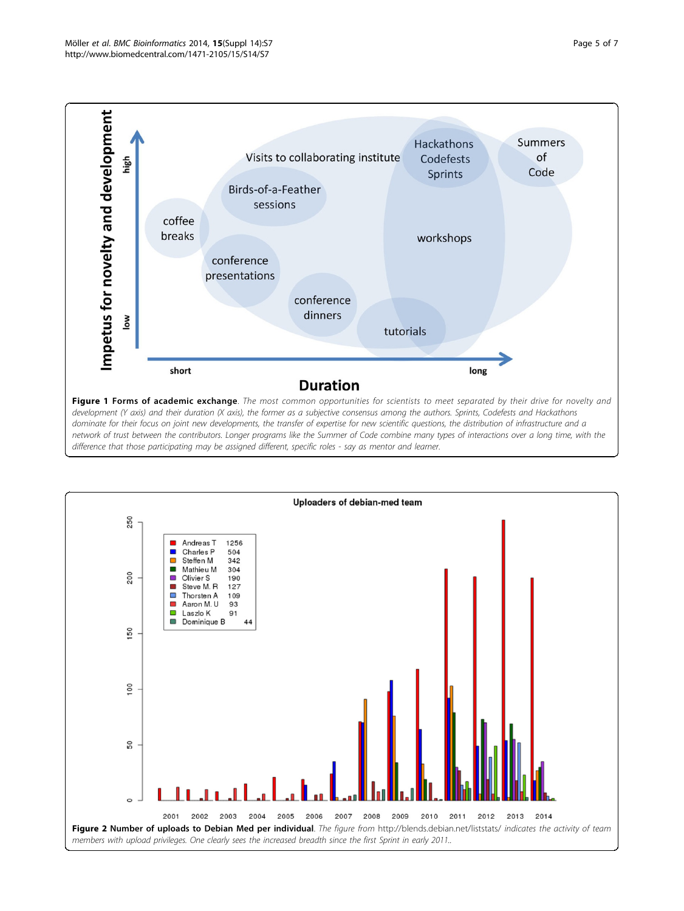<span id="page-4-0"></span>

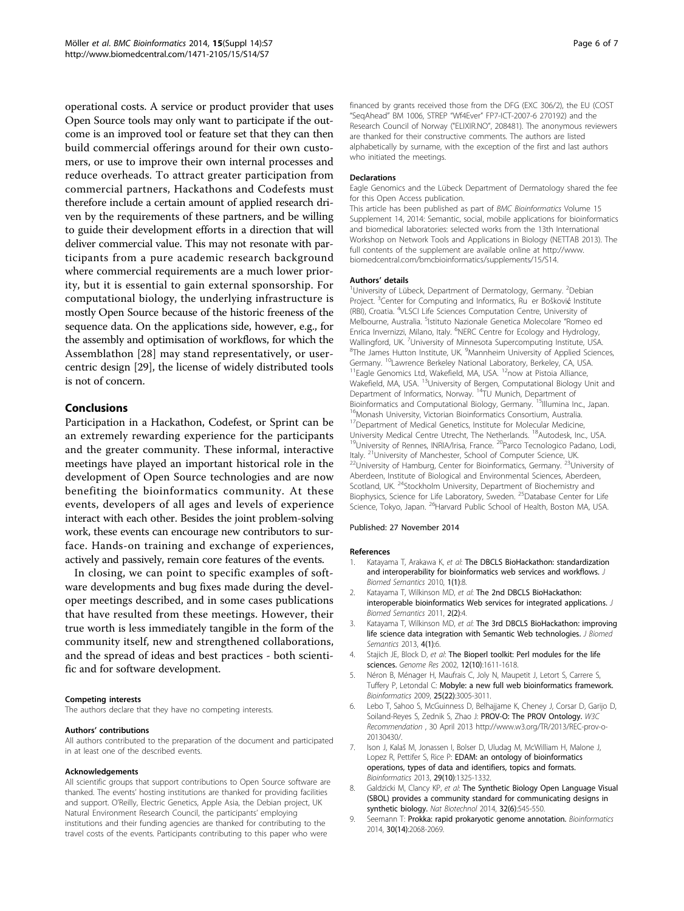<span id="page-5-0"></span>operational costs. A service or product provider that uses Open Source tools may only want to participate if the outcome is an improved tool or feature set that they can then build commercial offerings around for their own customers, or use to improve their own internal processes and reduce overheads. To attract greater participation from commercial partners, Hackathons and Codefests must therefore include a certain amount of applied research driven by the requirements of these partners, and be willing to guide their development efforts in a direction that will deliver commercial value. This may not resonate with participants from a pure academic research background where commercial requirements are a much lower priority, but it is essential to gain external sponsorship. For computational biology, the underlying infrastructure is mostly Open Source because of the historic freeness of the sequence data. On the applications side, however, e.g., for the assembly and optimisation of workflows, for which the Assemblathon [[28\]](#page--1-0) may stand representatively, or usercentric design [[29\]](#page--1-0), the license of widely distributed tools is not of concern.

# Conclusions

Participation in a Hackathon, Codefest, or Sprint can be an extremely rewarding experience for the participants and the greater community. These informal, interactive meetings have played an important historical role in the development of Open Source technologies and are now benefiting the bioinformatics community. At these events, developers of all ages and levels of experience interact with each other. Besides the joint problem-solving work, these events can encourage new contributors to surface. Hands-on training and exchange of experiences, actively and passively, remain core features of the events.

In closing, we can point to specific examples of software developments and bug fixes made during the developer meetings described, and in some cases publications that have resulted from these meetings. However, their true worth is less immediately tangible in the form of the community itself, new and strengthened collaborations, and the spread of ideas and best practices - both scientific and for software development.

#### Competing interests

The authors declare that they have no competing interests.

#### Authors' contributions

All authors contributed to the preparation of the document and participated in at least one of the described events.

#### Acknowledgements

All scientific groups that support contributions to Open Source software are thanked. The events' hosting institutions are thanked for providing facilities and support. O'Reilly, Electric Genetics, Apple Asia, the Debian project, UK Natural Environment Research Council, the participants' employing institutions and their funding agencies are thanked for contributing to the travel costs of the events. Participants contributing to this paper who were

financed by grants received those from the DFG (EXC 306/2), the EU (COST "SeqAhead" BM 1006, STREP "Wf4Ever" FP7-ICT-2007-6 270192) and the Research Council of Norway ("ELIXIR.NO", 208481). The anonymous reviewers are thanked for their constructive comments. The authors are listed alphabetically by surname, with the exception of the first and last authors who initiated the meetings.

#### Declarations

Eagle Genomics and the Lübeck Department of Dermatology shared the fee for this Open Access publication.

This article has been published as part of BMC Bioinformatics Volume 15 Supplement 14, 2014: Semantic, social, mobile applications for bioinformatics and biomedical laboratories: selected works from the 13th International Workshop on Network Tools and Applications in Biology (NETTAB 2013). The full contents of the supplement are available online at [http://www.](http://www.biomedcentral.com/bmcbioinformatics/supplements/15/S14) [biomedcentral.com/bmcbioinformatics/supplements/15/S14](http://www.biomedcentral.com/bmcbioinformatics/supplements/15/S14).

#### Authors' details <sup>1</sup>

University of Lübeck, Department of Dermatology, Germany. <sup>2</sup>Debian Project.<sup>3</sup> Center for Computing and Informatics, Ru er Bošković Institute (RBI), Croatia. <sup>4</sup> VLSCI Life Sciences Computation Centre, University of Melbourne, Australia. <sup>5</sup>Istituto Nazionale Genetica Molecolare "Romeo ed Enrica Invernizzi, Milano, Italy. <sup>6</sup>NERC Centre for Ecology and Hydrology Wallingford, UK. <sup>7</sup>University of Minnesota Supercomputing Institute, USA.<br><sup>8</sup>The James Hutton Institute UK. <sup>9</sup>Mannheim University of Applied Scienc The James Hutton Institute, UK. <sup>9</sup>Mannheim University of Applied Sciences, Germany. <sup>10</sup>Lawrence Berkeley National Laboratory, Berkeley, CA, USA.<br><sup>11</sup>Eagle Genomics Ltd, Wakefield, MA, USA. <sup>12</sup>now at Pistoia Alliance, Wakefield, MA, USA. 13University of Bergen, Computational Biology Unit and Department of Informatics, Norway. 14TU Munich, Department of Bioinformatics and Computational Biology, Germany. <sup>15</sup>Illumina Inc., Japan. <sup>16</sup>Monash University, Victorian Bioinformatics Consortium, Australia. <sup>17</sup>Department of Medical Genetics, Institute for Molecular Medicine,<br>University Medical Centre Utrecht, The Netherlands. <sup>18</sup>Autodesk, Inc., USA. <sup>19</sup>University of Rennes, INRIA/Irisa, France. <sup>20</sup>Parco Tecnologico Padano, Lodi, Italy. <sup>21</sup>University of Manchester, School of Computer Science, UK.<br><sup>22</sup>University of Hamburg, Center for Bioinformatics, Germany. <sup>23</sup>University of Aberdeen, Institute of Biological and Environmental Sciences, Aberdeen, Scotland, UK. <sup>24</sup>Stockholm University, Department of Biochemistry and Biophysics, Science for Life Laboratory, Sweden. <sup>25</sup>Database Center for Life Science, Tokyo, Japan. <sup>26</sup>Harvard Public School of Health, Boston MA, USA.

#### Published: 27 November 2014

#### References

- 1. Katayama T, Arakawa K, et al: [The DBCLS BioHackathon: standardization](http://www.ncbi.nlm.nih.gov/pubmed/20727200?dopt=Abstract) [and interoperability for bioinformatics web services and workflows.](http://www.ncbi.nlm.nih.gov/pubmed/20727200?dopt=Abstract) J Biomed Semantics 2010, 1(1):8.
- 2. Katayama T, Wilkinson MD, et al: [The 2nd DBCLS BioHackathon:](http://www.ncbi.nlm.nih.gov/pubmed/21806842?dopt=Abstract) [interoperable bioinformatics Web services for integrated applications.](http://www.ncbi.nlm.nih.gov/pubmed/21806842?dopt=Abstract) J Biomed Semantics 2011, 2(2):4.
- 3. Katayama T, Wilkinson MD, et al: [The 3rd DBCLS BioHackathon: improving](http://www.ncbi.nlm.nih.gov/pubmed/23398680?dopt=Abstract) [life science data integration with Semantic Web technologies.](http://www.ncbi.nlm.nih.gov/pubmed/23398680?dopt=Abstract) J Biomed Semantics 2013, 4(1):6.
- 4. Stajich JE, Block D, et al: [The Bioperl toolkit: Perl modules for the life](http://www.ncbi.nlm.nih.gov/pubmed/12368254?dopt=Abstract) [sciences.](http://www.ncbi.nlm.nih.gov/pubmed/12368254?dopt=Abstract) Genome Res 2002, 12(10):1611-1618.
- 5. Néron B, Ménager H, Maufrais C, Joly N, Maupetit J, Letort S, Carrere S, Tuffery P, Letondal C: [Mobyle: a new full web bioinformatics framework.](http://www.ncbi.nlm.nih.gov/pubmed/19689959?dopt=Abstract) Bioinformatics 2009, 25(22):3005-3011.
- 6. Lebo T, Sahoo S, McGuinness D, Belhajjame K, Cheney J, Corsar D, Garijo D, Soiland-Reyes S, Zednik S, Zhao J: PROV-O: The PROV Ontology. W3C Recommendation , 30 April 2013 http://www.w3.org/TR/2013/REC-prov-o-20130430/.
- 7. Ison J, Kalaš M, Jonassen I, Bolser D, Uludag M, McWilliam H, Malone J, Lopez R, Pettifer S, Rice P: [EDAM: an ontology of bioinformatics](http://www.ncbi.nlm.nih.gov/pubmed/23479348?dopt=Abstract) [operations, types of data and identifiers, topics and formats.](http://www.ncbi.nlm.nih.gov/pubmed/23479348?dopt=Abstract) Bioinformatics 2013, 29(10):1325-1332.
- 8. Galdzicki M, Clancy KP, et al: [The Synthetic Biology Open Language Visual](http://www.ncbi.nlm.nih.gov/pubmed/24911500?dopt=Abstract) [\(SBOL\) provides a community standard for communicating designs in](http://www.ncbi.nlm.nih.gov/pubmed/24911500?dopt=Abstract) [synthetic biology.](http://www.ncbi.nlm.nih.gov/pubmed/24911500?dopt=Abstract) Nat Biotechnol 2014, 32(6):545-550.
- Seemann T: [Prokka: rapid prokaryotic genome annotation.](http://www.ncbi.nlm.nih.gov/pubmed/24642063?dopt=Abstract) Bioinformatics 2014, 30(14):2068-2069.